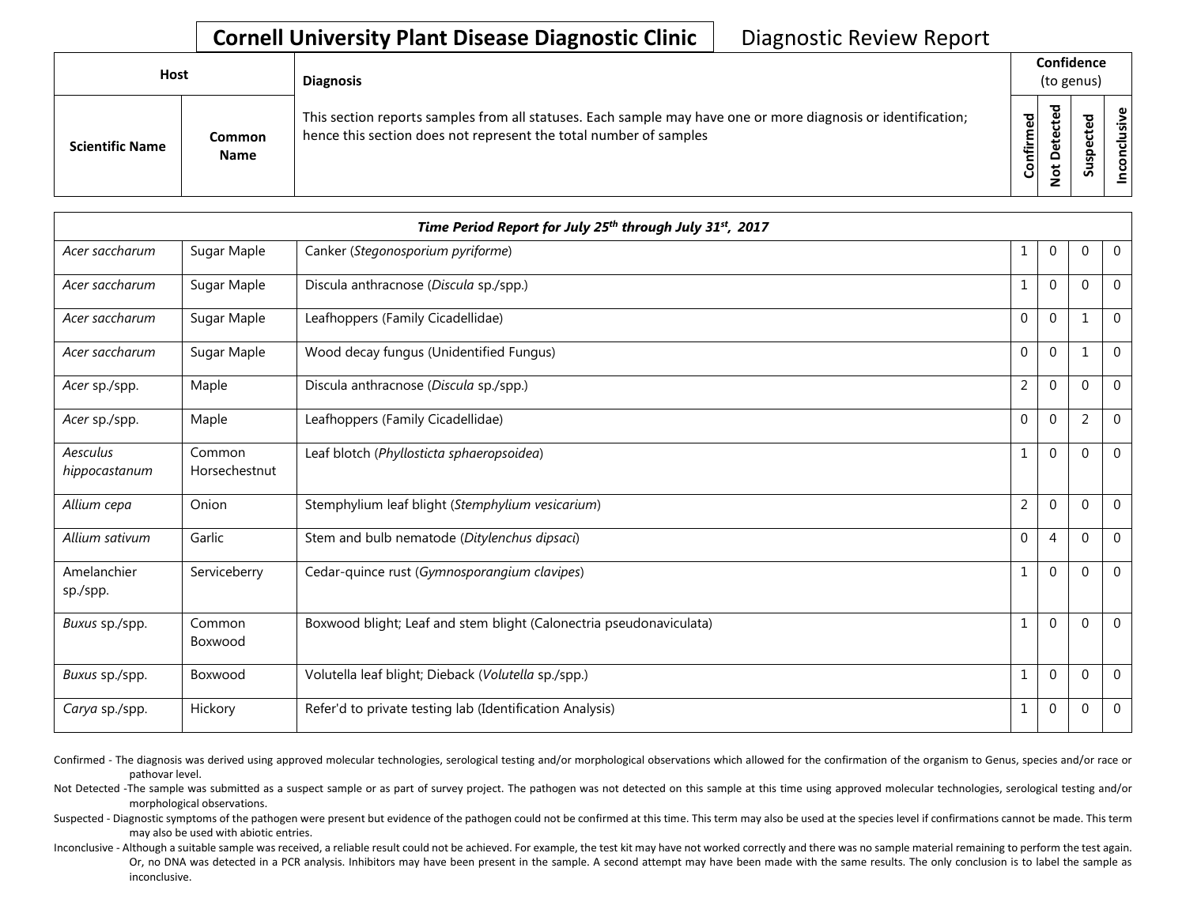| Host                   |                              | <b>Diagnosis</b>                                                                                                                                                                   |           |                                    | Confidence<br>(to genus) |         |  |
|------------------------|------------------------------|------------------------------------------------------------------------------------------------------------------------------------------------------------------------------------|-----------|------------------------------------|--------------------------|---------|--|
| <b>Scientific Name</b> | <b>Common</b><br><b>Name</b> | This section reports samples from all statuses. Each sample may have one or more diagnosis or identification;<br>hence this section does not represent the total number of samples | Confirmed | ъ<br>Φ<br>$\circ$<br>سه<br>$\circ$ | ທ                        | ω<br>šΝ |  |

|                           |                         | Time Period Report for July 25 <sup>th</sup> through July 31 <sup>st</sup> , 2017 |                |                |                |                |
|---------------------------|-------------------------|-----------------------------------------------------------------------------------|----------------|----------------|----------------|----------------|
| Acer saccharum            | Sugar Maple             | Canker (Stegonosporium pyriforme)                                                 | 1              | $\mathbf 0$    | $\mathbf{0}$   | $\mathbf 0$    |
| Acer saccharum            | Sugar Maple             | Discula anthracnose (Discula sp./spp.)                                            |                | $\mathbf 0$    | $\Omega$       | $\mathbf 0$    |
| Acer saccharum            | Sugar Maple             | Leafhoppers (Family Cicadellidae)                                                 | 0              | $\mathbf 0$    |                | $\mathbf 0$    |
| Acer saccharum            | Sugar Maple             | Wood decay fungus (Unidentified Fungus)                                           | $\mathbf{0}$   | $\mathbf 0$    | 1              | $\mathbf 0$    |
| Acer sp./spp.             | Maple                   | Discula anthracnose (Discula sp./spp.)                                            | $\overline{2}$ | $\Omega$       | $\Omega$       | $\Omega$       |
| Acer sp./spp.             | Maple                   | Leafhoppers (Family Cicadellidae)                                                 | $\mathbf{0}$   | $\mathbf 0$    | $\overline{2}$ | $\mathbf 0$    |
| Aesculus<br>hippocastanum | Common<br>Horsechestnut | Leaf blotch (Phyllosticta sphaeropsoidea)                                         | 1              | $\overline{0}$ | $\Omega$       | $\overline{0}$ |
| Allium cepa               | Onion                   | Stemphylium leaf blight (Stemphylium vesicarium)                                  | $\overline{2}$ | $\mathbf 0$    | $\Omega$       | $\mathbf 0$    |
| Allium sativum            | Garlic                  | Stem and bulb nematode (Ditylenchus dipsaci)                                      | $\overline{0}$ | $\overline{4}$ | $\Omega$       | $\mathbf 0$    |
| Amelanchier<br>sp./spp.   | Serviceberry            | Cedar-quince rust (Gymnosporangium clavipes)                                      | $\mathbf{1}$   | $\mathbf 0$    | $\Omega$       | $\mathbf 0$    |
| Buxus sp./spp.            | Common<br>Boxwood       | Boxwood blight; Leaf and stem blight (Calonectria pseudonaviculata)               | $\mathbf{1}$   | $\mathbf 0$    | $\Omega$       | $\mathbf 0$    |
| Buxus sp./spp.            | Boxwood                 | Volutella leaf blight; Dieback (Volutella sp./spp.)                               | $\mathbf{1}$   | $\Omega$       | $\Omega$       | $\mathbf 0$    |
| Carya sp./spp.            | Hickory                 | Refer'd to private testing lab (Identification Analysis)                          | 1              | $\overline{0}$ | $\Omega$       | $\mathbf 0$    |

Confirmed - The diagnosis was derived using approved molecular technologies, serological testing and/or morphological observations which allowed for the confirmation of the organism to Genus, species and/or race or pathovar level.

Not Detected -The sample was submitted as a suspect sample or as part of survey project. The pathogen was not detected on this sample at this time using approved molecular technologies, serological testing and/or morphological observations.

Suspected - Diagnostic symptoms of the pathogen were present but evidence of the pathogen could not be confirmed at this time. This term may also be used at the species level if confirmations cannot be made. This term may also be used with abiotic entries.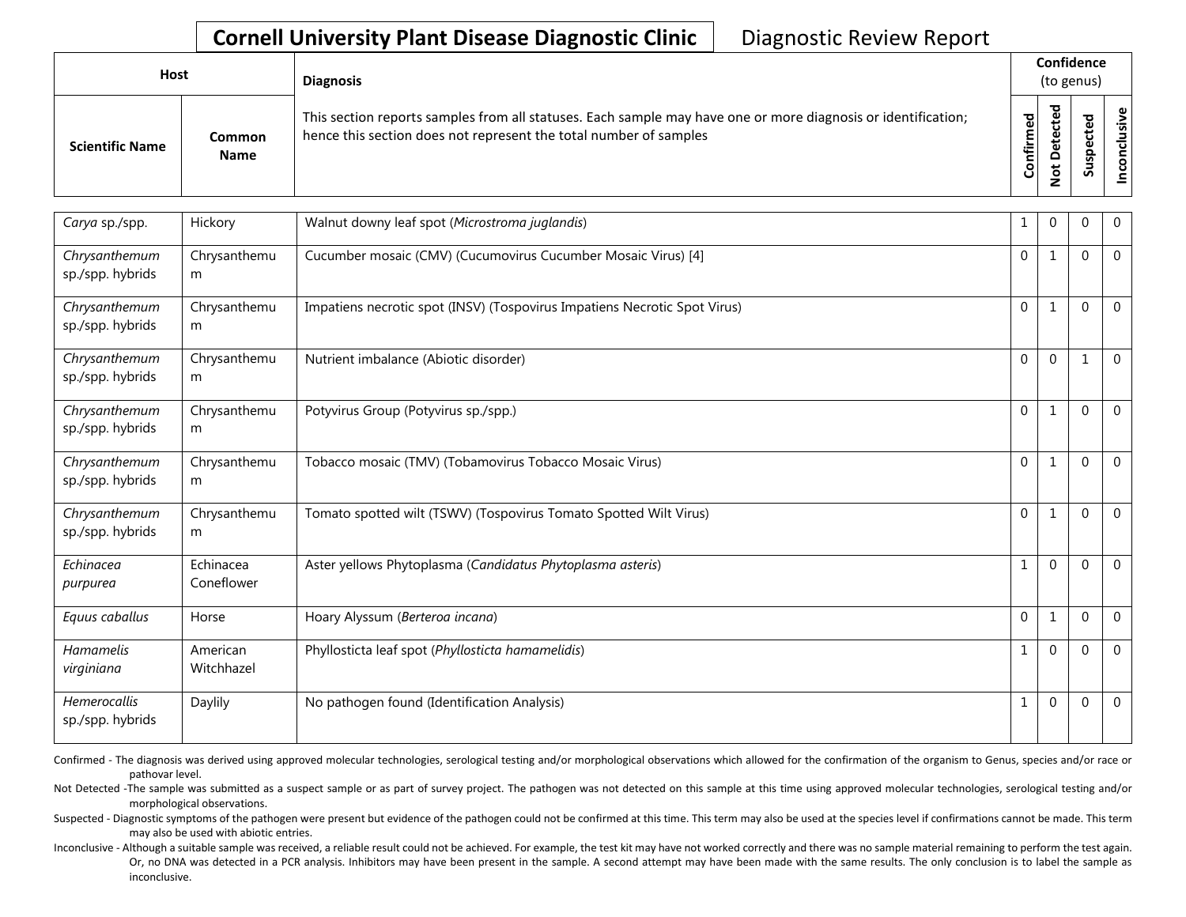| <b>Host</b>            |                       | <b>Diagnosis</b>                                                                                                                                                                   |           |                        | Confidence<br>(to genus) |                 |
|------------------------|-----------------------|------------------------------------------------------------------------------------------------------------------------------------------------------------------------------------|-----------|------------------------|--------------------------|-----------------|
| <b>Scientific Name</b> | Common<br><b>Name</b> | This section reports samples from all statuses. Each sample may have one or more diagnosis or identification;<br>hence this section does not represent the total number of samples | Confirmed | ъ<br>سد<br>Δ<br>پ<br>- | ທ                        | Φ<br>usiv<br>᠊ᠣ |

| Carya sp./spp.                          | Hickory                 | Walnut downy leaf spot (Microstroma juglandis)                            | 1            | 0            | 0              | $\overline{0}$ |
|-----------------------------------------|-------------------------|---------------------------------------------------------------------------|--------------|--------------|----------------|----------------|
| Chrysanthemum<br>sp./spp. hybrids       | Chrysanthemu<br>m       | Cucumber mosaic (CMV) (Cucumovirus Cucumber Mosaic Virus) [4]             | $\Omega$     | $\mathbf{1}$ | $\Omega$       | $\overline{0}$ |
| Chrysanthemum<br>sp./spp. hybrids       | Chrysanthemu<br>m       | Impatiens necrotic spot (INSV) (Tospovirus Impatiens Necrotic Spot Virus) | $\mathbf 0$  | $\mathbf{1}$ | $\overline{0}$ | $\overline{0}$ |
| Chrysanthemum<br>sp./spp. hybrids       | Chrysanthemu<br>m       | Nutrient imbalance (Abiotic disorder)                                     | $\mathbf 0$  | $\mathbf{0}$ | $\mathbf{1}$   | $\overline{0}$ |
| Chrysanthemum<br>sp./spp. hybrids       | Chrysanthemu<br>m       | Potyvirus Group (Potyvirus sp./spp.)                                      | $\mathbf{0}$ | $\mathbf{1}$ | $\Omega$       | $\overline{0}$ |
| Chrysanthemum<br>sp./spp. hybrids       | Chrysanthemu<br>m       | Tobacco mosaic (TMV) (Tobamovirus Tobacco Mosaic Virus)                   | $\mathbf 0$  | 1            | $\Omega$       | $\overline{0}$ |
| Chrysanthemum<br>sp./spp. hybrids       | Chrysanthemu<br>m       | Tomato spotted wilt (TSWV) (Tospovirus Tomato Spotted Wilt Virus)         | $\Omega$     | $\mathbf{1}$ | $\Omega$       | $\Omega$       |
| Echinacea<br>purpurea                   | Echinacea<br>Coneflower | Aster yellows Phytoplasma (Candidatus Phytoplasma asteris)                | $\mathbf{1}$ | $\mathbf 0$  | $\Omega$       | $\overline{0}$ |
| Equus caballus                          | Horse                   | Hoary Alyssum (Berteroa incana)                                           | $\mathbf 0$  | $\mathbf{1}$ | $\mathbf{0}$   | $\overline{0}$ |
| Hamamelis<br>virginiana                 | American<br>Witchhazel  | Phyllosticta leaf spot (Phyllosticta hamamelidis)                         | 1            | $\mathbf{0}$ | $\mathbf{0}$   | $\overline{0}$ |
| <b>Hemerocallis</b><br>sp./spp. hybrids | Daylily                 | No pathogen found (Identification Analysis)                               | $\mathbf{1}$ | $\mathbf 0$  | $\Omega$       | $\overline{0}$ |

Confirmed - The diagnosis was derived using approved molecular technologies, serological testing and/or morphological observations which allowed for the confirmation of the organism to Genus, species and/or race or pathovar level.

Not Detected -The sample was submitted as a suspect sample or as part of survey project. The pathogen was not detected on this sample at this time using approved molecular technologies, serological testing and/or morphological observations.

Suspected - Diagnostic symptoms of the pathogen were present but evidence of the pathogen could not be confirmed at this time. This term may also be used at the species level if confirmations cannot be made. This term may also be used with abiotic entries.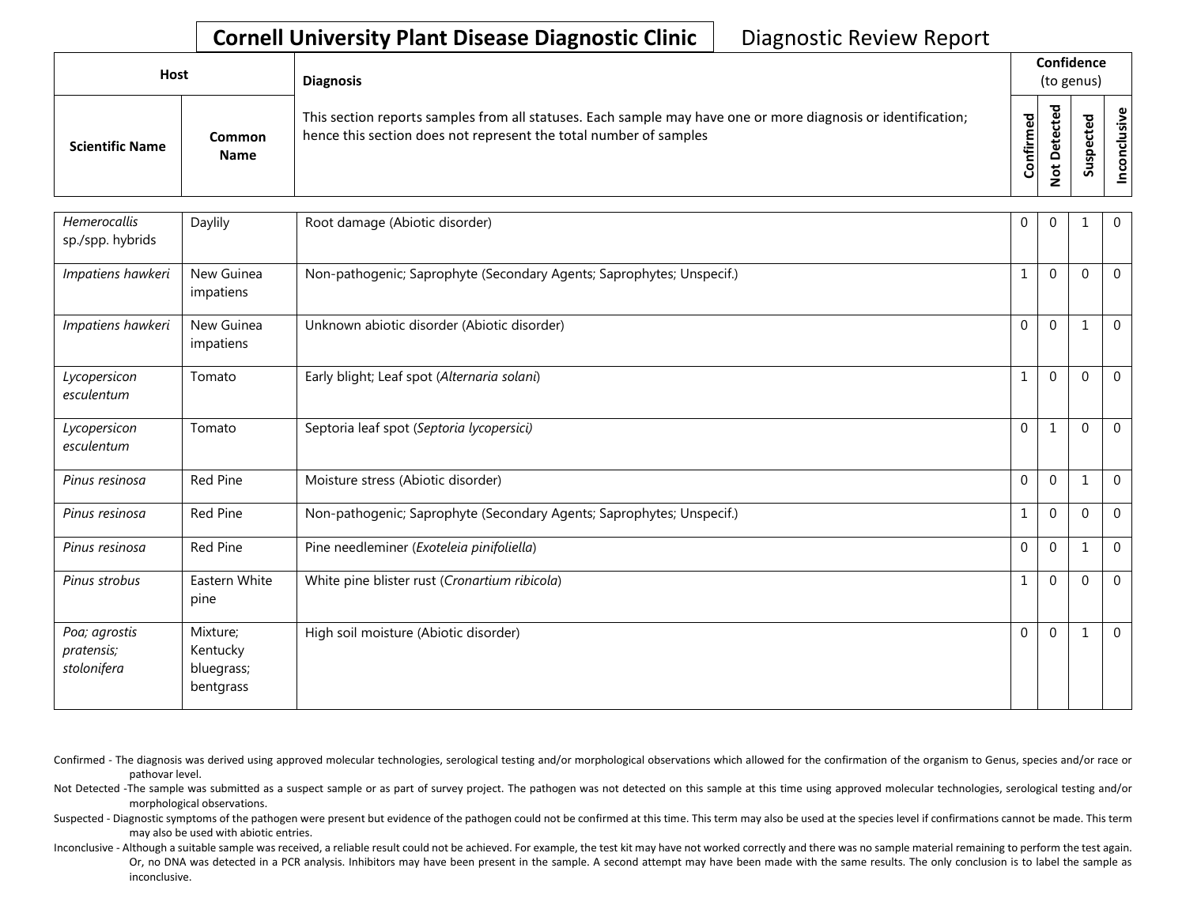| Host                   |                       | <b>Diagnosis</b>                                                                                                                                                                   |           |        | Confidence<br>(to genus) |                                           |  |  |
|------------------------|-----------------------|------------------------------------------------------------------------------------------------------------------------------------------------------------------------------------|-----------|--------|--------------------------|-------------------------------------------|--|--|
| <b>Scientific Name</b> | Common<br><b>Name</b> | This section reports samples from all statuses. Each sample may have one or more diagnosis or identification;<br>hence this section does not represent the total number of samples | Confirmed | ᇃ<br>o | 5                        | $\tilde{\mathbf{z}}$<br>ē<br>᠊ᠣ<br>c<br>g |  |  |

| <b>Hemerocallis</b><br>sp./spp. hybrids    | Daylily                                         | Root damage (Abiotic disorder)                                        | $\mathbf 0$  | $\mathbf{0}$   |              | $\overline{0}$ |
|--------------------------------------------|-------------------------------------------------|-----------------------------------------------------------------------|--------------|----------------|--------------|----------------|
| Impatiens hawkeri                          | New Guinea<br>impatiens                         | Non-pathogenic; Saprophyte (Secondary Agents; Saprophytes; Unspecif.) | $\mathbf{1}$ | $\Omega$       | $\Omega$     | $\Omega$       |
| Impatiens hawkeri                          | New Guinea<br>impatiens                         | Unknown abiotic disorder (Abiotic disorder)                           | $\mathbf 0$  | $\mathbf 0$    | $\mathbf{1}$ | $\Omega$       |
| Lycopersicon<br>esculentum                 | Tomato                                          | Early blight; Leaf spot (Alternaria solani)                           | 1            | $\overline{0}$ | $\theta$     | $\Omega$       |
| Lycopersicon<br>esculentum                 | Tomato                                          | Septoria leaf spot (Septoria lycopersici)                             | $\mathbf 0$  | $\mathbf{1}$   | $\theta$     | $\Omega$       |
| Pinus resinosa                             | Red Pine                                        | Moisture stress (Abiotic disorder)                                    | $\mathbf{0}$ | $\overline{0}$ | $\mathbf 1$  | $\Omega$       |
| Pinus resinosa                             | Red Pine                                        | Non-pathogenic; Saprophyte (Secondary Agents; Saprophytes; Unspecif.) | 1            | $\mathbf 0$    | $\Omega$     | $\overline{0}$ |
| Pinus resinosa                             | Red Pine                                        | Pine needleminer (Exoteleia pinifoliella)                             | $\mathbf{0}$ | $\mathbf{0}$   | $\mathbf 1$  | $\Omega$       |
| Pinus strobus                              | Eastern White<br>pine                           | White pine blister rust (Cronartium ribicola)                         | 1            | $\overline{0}$ | $\Omega$     | $\Omega$       |
| Poa; agrostis<br>pratensis;<br>stolonifera | Mixture:<br>Kentucky<br>bluegrass;<br>bentgrass | High soil moisture (Abiotic disorder)                                 | $\Omega$     | $\mathbf 0$    | $\mathbf{1}$ | $\Omega$       |

Confirmed - The diagnosis was derived using approved molecular technologies, serological testing and/or morphological observations which allowed for the confirmation of the organism to Genus, species and/or race or pathovar level.

Not Detected -The sample was submitted as a suspect sample or as part of survey project. The pathogen was not detected on this sample at this time using approved molecular technologies, serological testing and/or morphological observations.

Suspected - Diagnostic symptoms of the pathogen were present but evidence of the pathogen could not be confirmed at this time. This term may also be used at the species level if confirmations cannot be made. This term may also be used with abiotic entries.